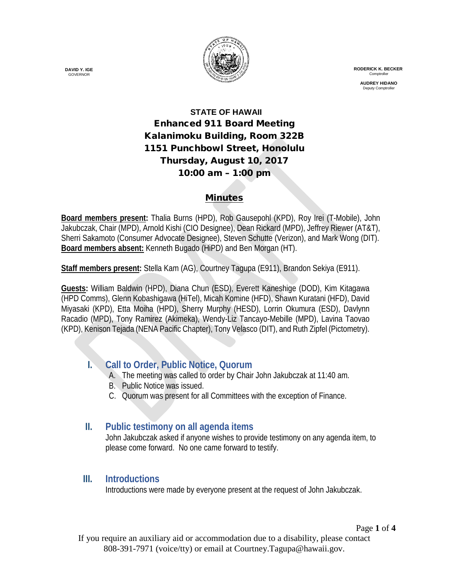

 **RODERICK K. BECKER** Comptrolle

> **AUDREY HIDANO** Deputy Comptrolle

# **STATE OF HAWAII** Enhanced 911 Board Meeting Kalanimoku Building, Room 322B 1151 Punchbowl Street, Honolulu Thursday, August 10, 2017 10:00 am – 1:00 pm

#### **Minutes**

**Board members present:** Thalia Burns (HPD), Rob Gausepohl (KPD), Roy Irei (T-Mobile), John Jakubczak, Chair (MPD), Arnold Kishi (CIO Designee), Dean Rickard (MPD), Jeffrey Riewer (AT&T), Sherri Sakamoto (Consumer Advocate Designee), Steven Schutte (Verizon), and Mark Wong (DIT). **Board members absent:** Kenneth Bugado (HiPD) and Ben Morgan (HT).

**Staff members present:** Stella Kam (AG), Courtney Tagupa (E911), Brandon Sekiya (E911).

**Guests:** William Baldwin (HPD), Diana Chun (ESD), Everett Kaneshige (DOD), Kim Kitagawa (HPD Comms), Glenn Kobashigawa (HiTel), Micah Komine (HFD), Shawn Kuratani (HFD), David Miyasaki (KPD), Etta Moiha (HPD), Sherry Murphy (HESD), Lorrin Okumura (ESD), Davlynn Racadio (MPD), Tony Ramirez (Akimeka), Wendy-Liz Tancayo-Mebille (MPD), Lavina Taovao (KPD), Kenison Tejada (NENA Pacific Chapter), Tony Velasco (DIT), and Ruth Zipfel (Pictometry).

# **I. Call to Order, Public Notice, Quorum**

- A. The meeting was called to order by Chair John Jakubczak at 11:40 am.
- B. Public Notice was issued.
- C. Quorum was present for all Committees with the exception of Finance.

## **II. Public testimony on all agenda items**

John Jakubczak asked if anyone wishes to provide testimony on any agenda item, to please come forward. No one came forward to testify.

## **III. Introductions**

Introductions were made by everyone present at the request of John Jakubczak.

**DAVID Y. IGE** GOVERNOR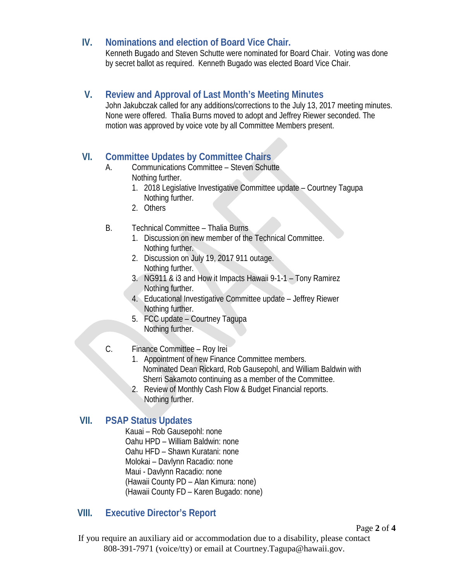## **IV. Nominations and election of Board Vice Chair.**

Kenneth Bugado and Steven Schutte were nominated for Board Chair. Voting was done by secret ballot as required. Kenneth Bugado was elected Board Vice Chair.

#### **V. Review and Approval of Last Month's Meeting Minutes**

John Jakubczak called for any additions/corrections to the July 13, 2017 meeting minutes. None were offered. Thalia Burns moved to adopt and Jeffrey Riewer seconded. The motion was approved by voice vote by all Committee Members present.

## **VI. Committee Updates by Committee Chairs**

- A. Communications Committee Steven Schutte Nothing further.
	- 1. 2018 Legislative Investigative Committee update Courtney Tagupa Nothing further.
	- 2. Others
- B. Technical Committee Thalia Burns
	- 1. Discussion on new member of the Technical Committee. Nothing further.
	- 2. Discussion on July 19, 2017 911 outage. Nothing further.
	- 3. NG911 & i3 and How it Impacts Hawaii 9-1-1 Tony Ramirez Nothing further.
	- 4. Educational Investigative Committee update Jeffrey Riewer Nothing further.
	- 5. FCC update Courtney Tagupa Nothing further.
- C. Finance Committee Roy Irei
	- 1. Appointment of new Finance Committee members. Nominated Dean Rickard, Rob Gausepohl, and William Baldwin with Sherri Sakamoto continuing as a member of the Committee.
	- 2. Review of Monthly Cash Flow & Budget Financial reports. Nothing further.

## **VII. PSAP Status Updates**

Kauai – Rob Gausepohl: none Oahu HPD – William Baldwin: none Oahu HFD – Shawn Kuratani: none Molokai – Davlynn Racadio: none Maui - Davlynn Racadio: none (Hawaii County PD – Alan Kimura: none) (Hawaii County FD – Karen Bugado: none)

#### **VIII. Executive Director's Report**

If you require an auxiliary aid or accommodation due to a disability, please contact 808-391-7971 (voice/tty) or email at Courtney.Tagupa@hawaii.gov.

Page **2** of **4**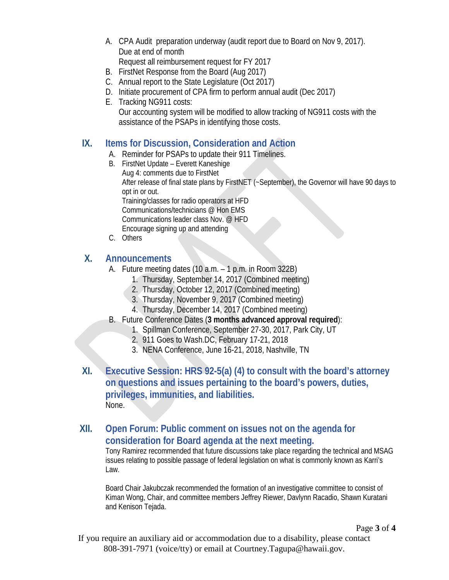- A. CPA Audit preparation underway (audit report due to Board on Nov 9, 2017). Due at end of month Request all reimbursement request for FY 2017
- B. FirstNet Response from the Board (Aug 2017)
- C. Annual report to the State Legislature (Oct 2017)
- D. Initiate procurement of CPA firm to perform annual audit (Dec 2017)
- E. Tracking NG911 costs:

Our accounting system will be modified to allow tracking of NG911 costs with the assistance of the PSAPs in identifying those costs.

## **IX. Items for Discussion, Consideration and Action**

- A. Reminder for PSAPs to update their 911 Timelines.
- B. FirstNet Update Everett Kaneshige Aug 4: comments due to FirstNet After release of final state plans by FirstNET (~September), the Governor will have 90 days to opt in or out. Training/classes for radio operators at HFD Communications/technicians @ Hon EMS Communications leader class Nov. @ HFD

Encourage signing up and attending

C. Others

#### **X. Announcements**

- A. Future meeting dates (10 a.m. 1 p.m. in Room 322B)
	- 1. Thursday, September 14, 2017 (Combined meeting)
	- 2. Thursday, October 12, 2017 (Combined meeting)
	- 3. Thursday, November 9, 2017 (Combined meeting)
	- 4. Thursday, December 14, 2017 (Combined meeting)
- B. Future Conference Dates (**3 months advanced approval required**):
	- 1. Spillman Conference, September 27-30, 2017, Park City, UT
	- 2. 911 Goes to Wash.DC, February 17-21, 2018
	- 3. NENA Conference, June 16-21, 2018, Nashville, TN
- **XI. Executive Session: HRS 92-5(a) (4) to consult with the board's attorney on questions and issues pertaining to the board's powers, duties, privileges, immunities, and liabilities.** None.
- **XII. Open Forum: Public comment on issues not on the agenda for consideration for Board agenda at the next meeting.**

Tony Ramirez recommended that future discussions take place regarding the technical and MSAG issues relating to possible passage of federal legislation on what is commonly known as Karri's Law.

Board Chair Jakubczak recommended the formation of an investigative committee to consist of Kiman Wong, Chair, and committee members Jeffrey Riewer, Davlynn Racadio, Shawn Kuratani and Kenison Tejada.

Page **3** of **4**

If you require an auxiliary aid or accommodation due to a disability, please contact 808-391-7971 (voice/tty) or email at Courtney.Tagupa@hawaii.gov.